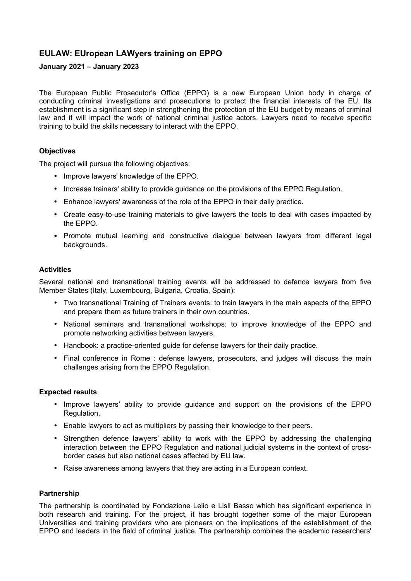# **EULAW: EUropean LAWyers training on EPPO**

## **January 2021 – January 2023**

The European Public Prosecutor's Office (EPPO) is a new European Union body in charge of conducting criminal investigations and prosecutions to protect the financial interests of the EU. Its establishment is a significant step in strengthening the protection of the EU budget by means of criminal law and it will impact the work of national criminal justice actors. Lawyers need to receive specific training to build the skills necessary to interact with the EPPO.

### **Objectives**

The project will pursue the following objectives:

- Improve lawyers' knowledge of the EPPO.
- Increase trainers' ability to provide guidance on the provisions of the EPPO Regulation.
- Enhance lawyers' awareness of the role of the EPPO in their daily practice.
- Create easy-to-use training materials to give lawyers the tools to deal with cases impacted by the EPPO.
- Promote mutual learning and constructive dialogue between lawyers from different legal backgrounds.

### **Activities**

Several national and transnational training events will be addressed to defence lawyers from five Member States (Italy, Luxembourg, Bulgaria, Croatia, Spain):

- Two transnational Training of Trainers events: to train lawyers in the main aspects of the EPPO and prepare them as future trainers in their own countries.
- National seminars and transnational workshops: to improve knowledge of the EPPO and promote networking activities between lawyers.
- Handbook: a practice-oriented guide for defense lawyers for their daily practice.
- Final conference in Rome : defense lawyers, prosecutors, and judges will discuss the main challenges arising from the EPPO Regulation.

## **Expected results**

- Improve lawyers' ability to provide guidance and support on the provisions of the EPPO Regulation.
- Enable lawyers to act as multipliers by passing their knowledge to their peers.
- Strengthen defence lawyers' ability to work with the EPPO by addressing the challenging interaction between the EPPO Regulation and national judicial systems in the context of crossborder cases but also national cases affected by EU law.
- Raise awareness among lawyers that they are acting in a European context.

### **Partnership**

The partnership is coordinated by Fondazione Lelio e Lisli Basso which has significant experience in both research and training. For the project, it has brought together some of the major European Universities and training providers who are pioneers on the implications of the establishment of the EPPO and leaders in the field of criminal justice. The partnership combines the academic researchers'